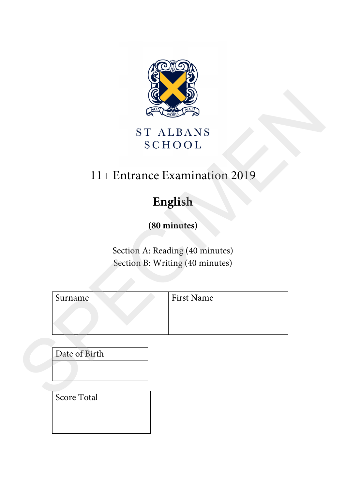

# 11+ Entrance Examination 2019

# **English**

|         | ST ALBANS<br><b>SCHOOL</b>      |  |
|---------|---------------------------------|--|
|         | 11+ Entrance Examination 2019   |  |
|         | English                         |  |
|         | (80 minutes)                    |  |
|         |                                 |  |
|         | Section A: Reading (40 minutes) |  |
|         | Section B: Writing (40 minutes) |  |
|         |                                 |  |
| Surname | First Name                      |  |
|         |                                 |  |
|         |                                 |  |
|         |                                 |  |

Score Total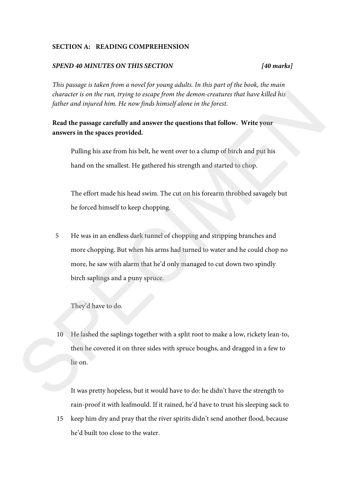#### **SECTION A: READING COMPREHENSION**

#### *SPEND 40 MINUTES ON THIS SECTION [40 marks]*

*This passage is taken from a novel for young adults. In this part of the book, the main character is on the run, trying to escape from the demon-creatures that have killed his father and injured him. He now finds himself alone in the forest.* 

#### **Read the passage carefully and answer the questions that follow. Write your answers in the spaces provided.**

Pulling his axe from his belt, he went over to a clump of birch and put his hand on the smallest. He gathered his strength and started to chop.

The effort made his head swim. The cut on his forearm throbbed savagely but he forced himself to keep chopping.

5 He was in an endless dark tunnel of chopping and stripping branches and more chopping. But when his arms had turned to water and he could chop no more, he saw with alarm that he'd only managed to cut down two spindly birch saplings and a puny spruce. character is on the run, trying to excape from the demon-creatures that have killed his<br>futher and injured him. He now finds himself alone in the forest.<br>Red the passage carefully and answer the questions that follow. Writ

They'd have to do.

10 He lashed the saplings together with a split root to make a low, rickety lean-to, then he covered it on three sides with spruce boughs, and dragged in a few to lie on.

It was pretty hopeless, but it would have to do: he didn't have the strength to rain-proof it with leafmould. If it rained, he'd have to trust his sleeping sack to

15 keep him dry and pray that the river spirits didn't send another flood, because he'd built too close to the water.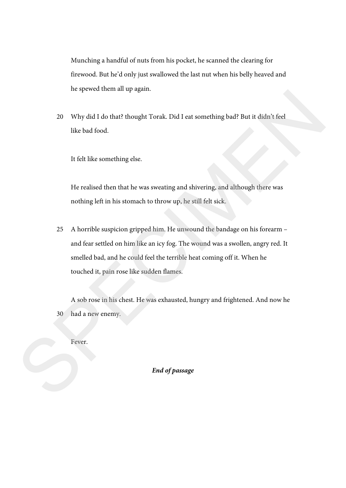Munching a handful of nuts from his pocket, he scanned the clearing for firewood. But he'd only just swallowed the last nut when his belly heaved and he spewed them all up again.

20 Why did I do that? thought Torak. Did I eat something bad? But it didn't feel like bad food.

It felt like something else.

He realised then that he was sweating and shivering, and although there was nothing left in his stomach to throw up, he still felt sick.

25 A horrible suspicion gripped him. He unwound the bandage on his forearm – and fear settled on him like an icy fog. The wound was a swollen, angry red. It smelled bad, and he could feel the terrible heat coming off it. When he touched it, pain rose like sudden flames. The procedure and the properties. Did 1 est something bod? But it didn't feel<br>like bod food.<br>It felt like something else.<br>It felt like something else.<br>It felt like something else.<br>It fert like something else.<br>It fert like

30 A sob rose in his chest. He was exhausted, hungry and frightened. And now he had a new enemy.

Fever.

*End of passage*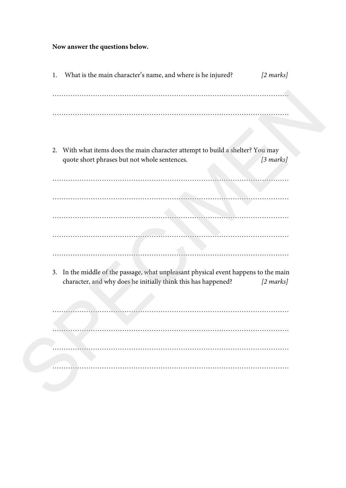## **Now answer the questions below.**

| What is the main character's name, and where is he injured?<br>1.                   | $[2 \text{ marks}]$ |
|-------------------------------------------------------------------------------------|---------------------|
|                                                                                     |                     |
|                                                                                     |                     |
|                                                                                     |                     |
|                                                                                     |                     |
| 2. With what items does the main character attempt to build a shelter? You may      |                     |
| quote short phrases but not whole sentences.                                        | [3 marks]           |
|                                                                                     |                     |
|                                                                                     |                     |
|                                                                                     |                     |
|                                                                                     |                     |
|                                                                                     |                     |
|                                                                                     |                     |
|                                                                                     |                     |
| 3. In the middle of the passage, what unpleasant physical event happens to the main |                     |
| character, and why does he initially think this has happened?                       | $[2 \text{ marks}]$ |
|                                                                                     |                     |
|                                                                                     |                     |
|                                                                                     |                     |
|                                                                                     |                     |
|                                                                                     |                     |
|                                                                                     |                     |
|                                                                                     |                     |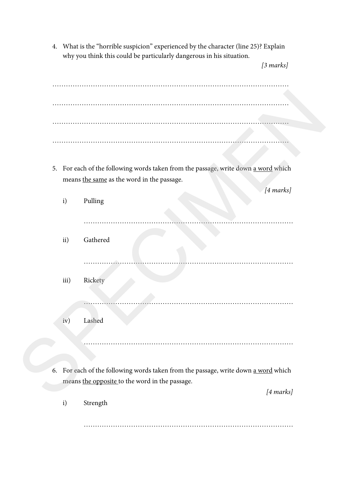4. What is the "horrible suspicion" experienced by the character (line 25)? Explain why you think this could be particularly dangerous in his situation.

*[3 marks]*

|    |      | 5. For each of the following words taken from the passage, write down a word which<br>means the same as the word in the passage.               |  |
|----|------|------------------------------------------------------------------------------------------------------------------------------------------------|--|
|    | i)   | [4 marks]<br>Pulling                                                                                                                           |  |
|    | ii)  | Gathered                                                                                                                                       |  |
|    |      |                                                                                                                                                |  |
|    | iii) | Rickety                                                                                                                                        |  |
|    | iv)  | Lashed                                                                                                                                         |  |
|    |      |                                                                                                                                                |  |
| 6. |      | For each of the following words taken from the passage, write down a word which<br>means the opposite to the word in the passage.<br>[4 marks] |  |
|    | i)   | Strength                                                                                                                                       |  |

…………………………………………………………………………………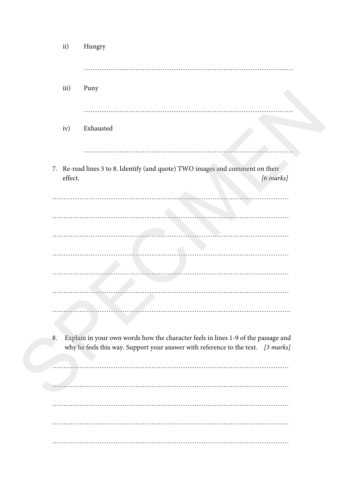| ii)     | Hungry                                                                                                                                                                |
|---------|-----------------------------------------------------------------------------------------------------------------------------------------------------------------------|
|         |                                                                                                                                                                       |
| iii)    | Puny                                                                                                                                                                  |
| iv)     | Exhausted                                                                                                                                                             |
|         |                                                                                                                                                                       |
| effect. | 7. Re-read lines 3 to 8. Identify (and quote) TWO images and comment on their<br>[6 marks]                                                                            |
|         |                                                                                                                                                                       |
|         |                                                                                                                                                                       |
|         |                                                                                                                                                                       |
|         |                                                                                                                                                                       |
|         |                                                                                                                                                                       |
|         |                                                                                                                                                                       |
|         |                                                                                                                                                                       |
| 8.      | Explain in your own words how the character feels in lines 1-9 of the passage and<br>why he feels this way. Support your answer with reference to the text. [3 marks] |
|         |                                                                                                                                                                       |
|         |                                                                                                                                                                       |
|         |                                                                                                                                                                       |
|         |                                                                                                                                                                       |
|         |                                                                                                                                                                       |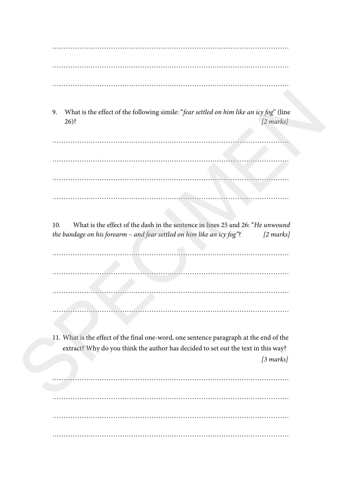…………………………………………………………………………………………… …………………………………………………………………………………………… ……………………………………………………………………………………………

9. What is the effect of the following simile: "*fear settled on him like an icy fog*" (line 26)? *[2 marks]* 

…………………………………………………………………………………………… …………………………………………………………………………………………… …………………………………………………………………………………………… …………………………………………………………………………………………… SPECIMEN

10. What is the effect of the dash in the sentence in lines 25 and 26: "*He unwound the bandage on his forearm – and fear settled on him like an icy fog"*? *[2 marks]* 

…………………………………………………………………………………………… …………………………………………………………………………………………… …………………………………………………………………………………………… ……………………………………………………………………………………………

11. What is the effect of the final one-word, one sentence paragraph at the end of the extract? Why do you think the author has decided to set out the text in this way? *[3 marks]* 

…………………………………………………………………………………………… …………………………………………………………………………………………… …………………………………………………………………………………………… ……………………………………………………………………………………………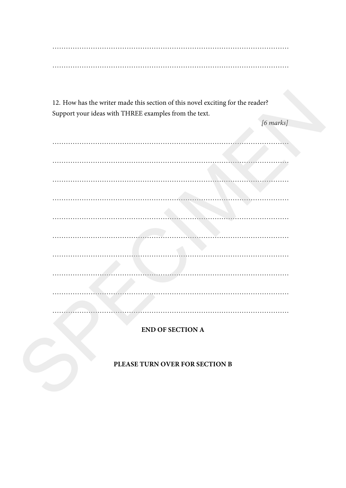$\cdots$ 

12. How has the writer made this section of this novel exciting for the reader? Support your ideas with THREE examples from the text.

 $[6 marks]$ 

**END OF SECTION A** 

PLEASE TURN OVER FOR SECTION B